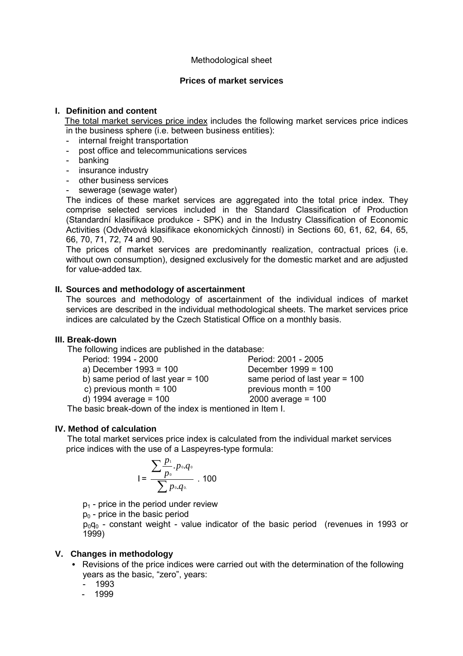## **Prices of market services**

## **I. Definition and content**

 The total market services price index includes the following market services price indices in the business sphere (i.e. between business entities):

- internal freight transportation
- post office and telecommunications services
- banking
- insurance industry
- other business services
- sewerage (sewage water)

The indices of these market services are aggregated into the total price index. They comprise selected services included in the Standard Classification of Production (Standardní klasifikace produkce - SPK) and in the Industry Classification of Economic Activities (Odvětvová klasifikace ekonomických činností) in Sections 60, 61, 62, 64, 65, 66, 70, 71, 72, 74 and 90.

The prices of market services are predominantly realization, contractual prices (i.e. without own consumption), designed exclusively for the domestic market and are adjusted for value-added tax.

## **II. Sources and methodology of ascertainment**

The sources and methodology of ascertainment of the individual indices of market services are described in the individual methodological sheets. The market services price indices are calculated by the Czech Statistical Office on a monthly basis.

#### **III. Break-down**

The following indices are published in the database:

Period: 1994 - 2000 Period: 2001 - 2005

a) December 1993 = 100 December 1999 = 100

- 
- c) previous month =  $100$  previous month =  $100$
- d) 1994 average = 100 2000 average = 100

b) same period of last year =  $100$  same period of last year =  $100$ 

The basic break-down of the index is mentioned in Item I.

# **IV. Method of calculation**

 The total market services price index is calculated from the individual market services price indices with the use of a Laspeyres-type formula:

$$
I = \frac{\sum_{p_0}^{p_1} p_0 q_0}{\sum_{p_0} p_0 q_0} \cdot 100
$$

 $p_1$  - price in the period under review

 $p_0$  - price in the basic period

 $p_0q_0$  - constant weight - value indicator of the basic period (revenues in 1993 or 1999)

# **V. Changes in methodology**

- Revisions of the price indices were carried out with the determination of the following years as the basic, "zero", years:
	- $1993$
	- 1999